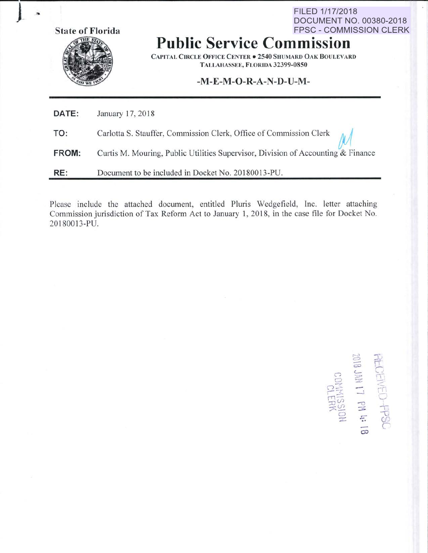**State of Florida** 



FPSC - COMMISSION CLERK **Public Service Commission** 

**CAPITAL CIRCLE OFFICE CENTER . 2540 SHUMARD OAK BOULEVARD** TALLAHASSEE, FLORIDA 32399-0850

FILED 1/17/2018

**DOCUMENT NO. 00380-2018** 

## $-M-E-M-O-R-A-N-D-U-M-$

| DATE: | January 17, 2018                                                                 |
|-------|----------------------------------------------------------------------------------|
| TO:   | Carlotta S. Stauffer, Commission Clerk, Office of Commission Clerk $\mathcal{M}$ |
| FROM: | Curtis M. Mouring, Public Utilities Supervisor, Division of Accounting & Finance |
| RE:   | Document to be included in Docket No. 20180013-PU.                               |

Please include the attached document, entitled Pluris Wedgefield, Inc. letter attaching Commission jurisdiction of Tax Reform Act to January 1, 2018, in the case file for Docket No. 20180013-PU.

**SECTEMED-PPSC**